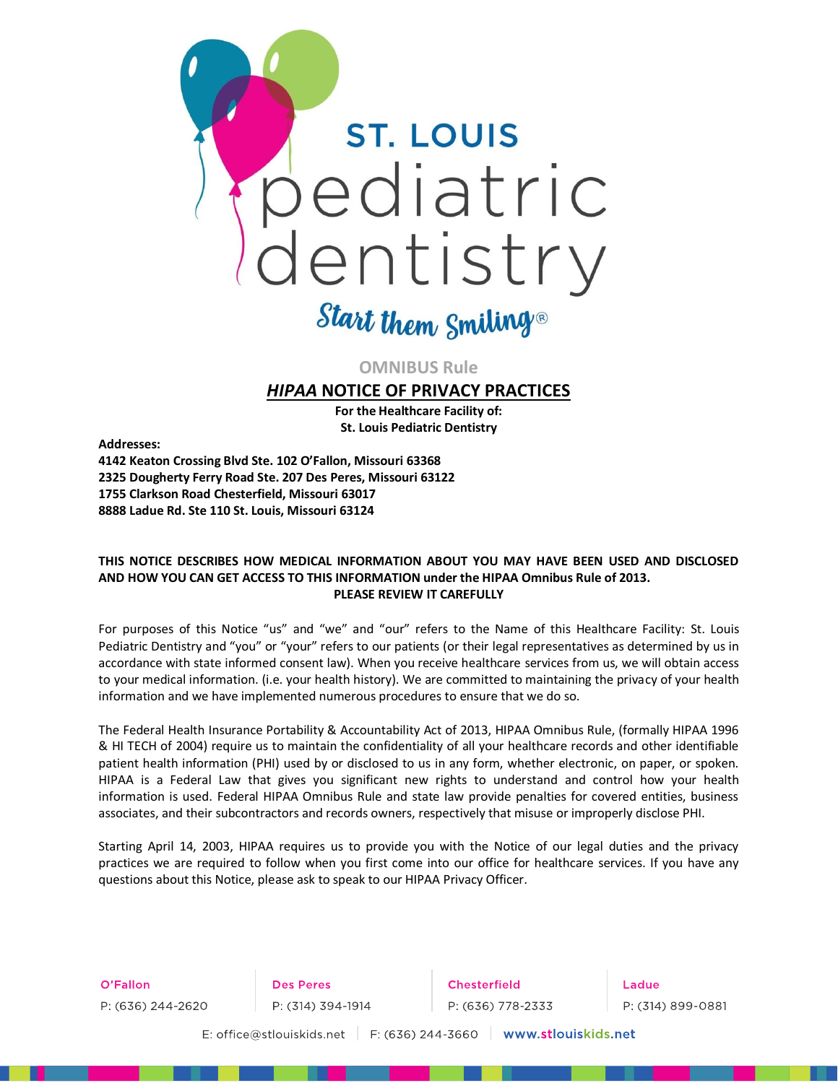

# Start them Smiling®

# **OMNIBUS Rule**

# *HIPAA* **NOTICE OF PRIVACY PRACTICES**

**For the Healthcare Facility of: St. Louis Pediatric Dentistry**

**Addresses:**

**4142 Keaton Crossing Blvd Ste. 102 O'Fallon, Missouri 63368 2325 Dougherty Ferry Road Ste. 207 Des Peres, Missouri 63122 1755 Clarkson Road Chesterfield, Missouri 63017 8888 Ladue Rd. Ste 110 St. Louis, Missouri 63124**

# **THIS NOTICE DESCRIBES HOW MEDICAL INFORMATION ABOUT YOU MAY HAVE BEEN USED AND DISCLOSED AND HOW YOU CAN GET ACCESS TO THIS INFORMATION under the HIPAA Omnibus Rule of 2013. PLEASE REVIEW IT CAREFULLY**

For purposes of this Notice "us" and "we" and "our" refers to the Name of this Healthcare Facility: St. Louis Pediatric Dentistry and "you" or "your" refers to our patients (or their legal representatives as determined by us in accordance with state informed consent law). When you receive healthcare services from us, we will obtain access to your medical information. (i.e. your health history). We are committed to maintaining the privacy of your health information and we have implemented numerous procedures to ensure that we do so.

The Federal Health Insurance Portability & Accountability Act of 2013, HIPAA Omnibus Rule, (formally HIPAA 1996 & HI TECH of 2004) require us to maintain the confidentiality of all your healthcare records and other identifiable patient health information (PHI) used by or disclosed to us in any form, whether electronic, on paper, or spoken. HIPAA is a Federal Law that gives you significant new rights to understand and control how your health information is used. Federal HIPAA Omnibus Rule and state law provide penalties for covered entities, business associates, and their subcontractors and records owners, respectively that misuse or improperly disclose PHI.

Starting April 14, 2003, HIPAA requires us to provide you with the Notice of our legal duties and the privacy practices we are required to follow when you first come into our office for healthcare services. If you have any questions about this Notice, please ask to speak to our HIPAA Privacy Officer.

O'Fallon Chesterfield **Des Peres** Ladue P: (636) 244-2620 P: (314) 394-1914 P: (636) 778-2333 P: (314) 899-0881

E: office@stlouiskids.net F: (636) 244-3660 www.stlouiskids.net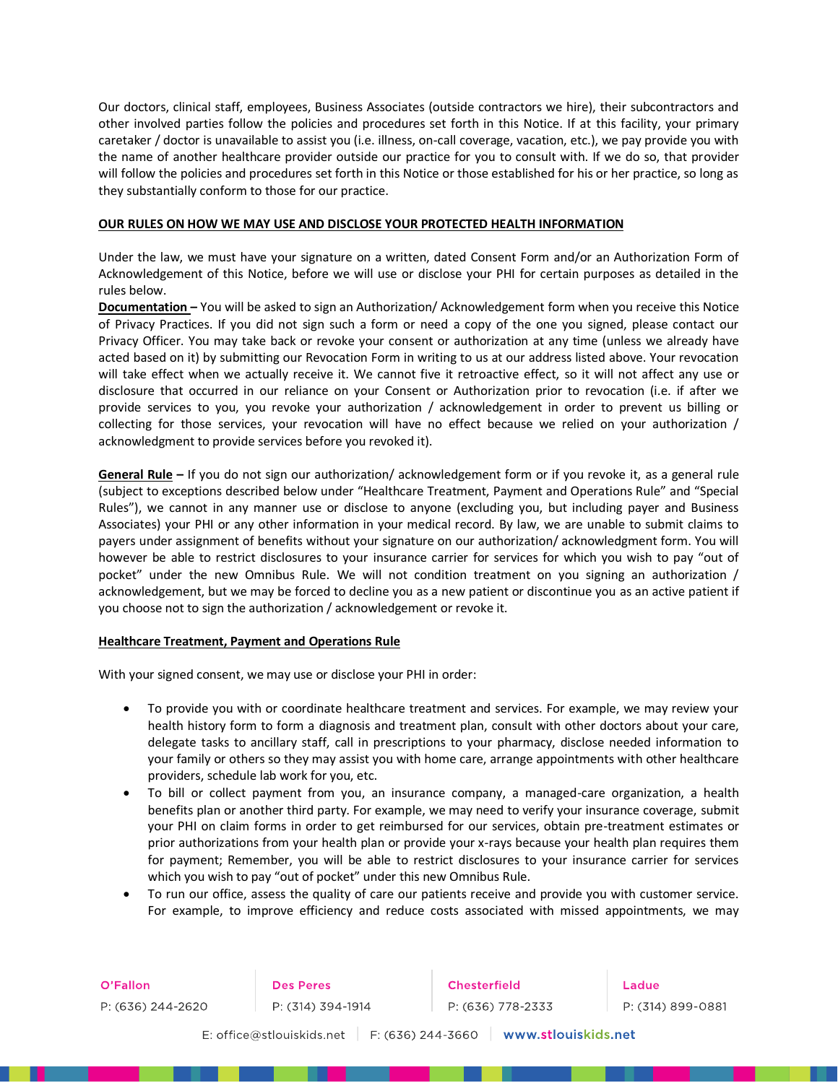Our doctors, clinical staff, employees, Business Associates (outside contractors we hire), their subcontractors and other involved parties follow the policies and procedures set forth in this Notice. If at this facility, your primary caretaker / doctor is unavailable to assist you (i.e. illness, on-call coverage, vacation, etc.), we pay provide you with the name of another healthcare provider outside our practice for you to consult with. If we do so, that provider will follow the policies and procedures set forth in this Notice or those established for his or her practice, so long as they substantially conform to those for our practice.

# **OUR RULES ON HOW WE MAY USE AND DISCLOSE YOUR PROTECTED HEALTH INFORMATION**

Under the law, we must have your signature on a written, dated Consent Form and/or an Authorization Form of Acknowledgement of this Notice, before we will use or disclose your PHI for certain purposes as detailed in the rules below.

**Documentation –** You will be asked to sign an Authorization/ Acknowledgement form when you receive this Notice of Privacy Practices. If you did not sign such a form or need a copy of the one you signed, please contact our Privacy Officer. You may take back or revoke your consent or authorization at any time (unless we already have acted based on it) by submitting our Revocation Form in writing to us at our address listed above. Your revocation will take effect when we actually receive it. We cannot five it retroactive effect, so it will not affect any use or disclosure that occurred in our reliance on your Consent or Authorization prior to revocation (i.e. if after we provide services to you, you revoke your authorization / acknowledgement in order to prevent us billing or collecting for those services, your revocation will have no effect because we relied on your authorization / acknowledgment to provide services before you revoked it).

**General Rule –** If you do not sign our authorization/ acknowledgement form or if you revoke it, as a general rule (subject to exceptions described below under "Healthcare Treatment, Payment and Operations Rule" and "Special Rules"), we cannot in any manner use or disclose to anyone (excluding you, but including payer and Business Associates) your PHI or any other information in your medical record. By law, we are unable to submit claims to payers under assignment of benefits without your signature on our authorization/ acknowledgment form. You will however be able to restrict disclosures to your insurance carrier for services for which you wish to pay "out of pocket" under the new Omnibus Rule. We will not condition treatment on you signing an authorization / acknowledgement, but we may be forced to decline you as a new patient or discontinue you as an active patient if you choose not to sign the authorization / acknowledgement or revoke it.

#### **Healthcare Treatment, Payment and Operations Rule**

 $\mathbb{R}^n$ 

With your signed consent, we may use or disclose your PHI in order:

- To provide you with or coordinate healthcare treatment and services. For example, we may review your health history form to form a diagnosis and treatment plan, consult with other doctors about your care, delegate tasks to ancillary staff, call in prescriptions to your pharmacy, disclose needed information to your family or others so they may assist you with home care, arrange appointments with other healthcare providers, schedule lab work for you, etc.
- To bill or collect payment from you, an insurance company, a managed-care organization, a health benefits plan or another third party. For example, we may need to verify your insurance coverage, submit your PHI on claim forms in order to get reimbursed for our services, obtain pre-treatment estimates or prior authorizations from your health plan or provide your x-rays because your health plan requires them for payment; Remember, you will be able to restrict disclosures to your insurance carrier for services which you wish to pay "out of pocket" under this new Omnibus Rule.
- To run our office, assess the quality of care our patients receive and provide you with customer service. For example, to improve efficiency and reduce costs associated with missed appointments, we may

 $\mathbb{R}^n$ 

899-0881

| O'Fallon          | Des Peres                                      | <b>Chesterfield</b> | Ladue    |
|-------------------|------------------------------------------------|---------------------|----------|
| P: (636) 244-2620 | P: (314) 394-1914                              | P: (636) 778-2333   | P: (314) |
|                   | F: (636) 244-3660<br>E: office@stlouiskids.net | www.stlouiskids.net |          |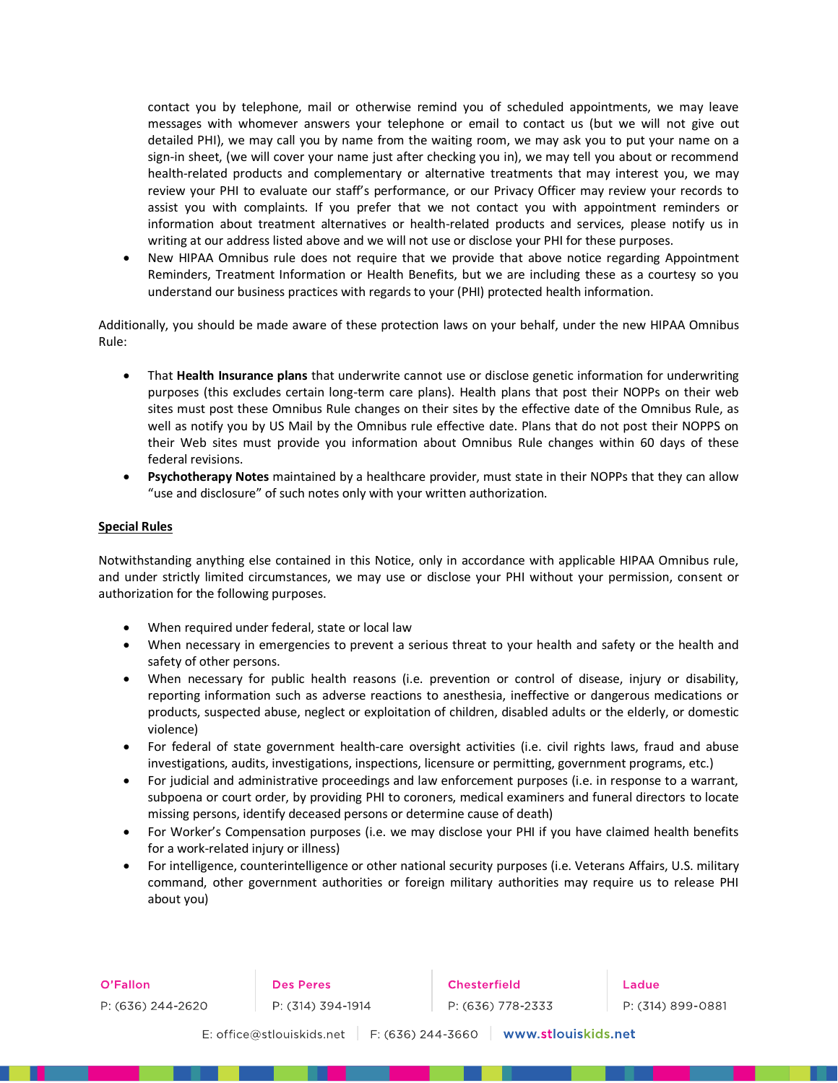contact you by telephone, mail or otherwise remind you of scheduled appointments, we may leave messages with whomever answers your telephone or email to contact us (but we will not give out detailed PHI), we may call you by name from the waiting room, we may ask you to put your name on a sign-in sheet, (we will cover your name just after checking you in), we may tell you about or recommend health-related products and complementary or alternative treatments that may interest you, we may review your PHI to evaluate our staff's performance, or our Privacy Officer may review your records to assist you with complaints. If you prefer that we not contact you with appointment reminders or information about treatment alternatives or health-related products and services, please notify us in writing at our address listed above and we will not use or disclose your PHI for these purposes.

• New HIPAA Omnibus rule does not require that we provide that above notice regarding Appointment Reminders, Treatment Information or Health Benefits, but we are including these as a courtesy so you understand our business practices with regards to your (PHI) protected health information.

Additionally, you should be made aware of these protection laws on your behalf, under the new HIPAA Omnibus Rule:

- That **Health Insurance plans** that underwrite cannot use or disclose genetic information for underwriting purposes (this excludes certain long-term care plans). Health plans that post their NOPPs on their web sites must post these Omnibus Rule changes on their sites by the effective date of the Omnibus Rule, as well as notify you by US Mail by the Omnibus rule effective date. Plans that do not post their NOPPS on their Web sites must provide you information about Omnibus Rule changes within 60 days of these federal revisions.
- **Psychotherapy Notes** maintained by a healthcare provider, must state in their NOPPs that they can allow "use and disclosure" of such notes only with your written authorization.

# **Special Rules**

Notwithstanding anything else contained in this Notice, only in accordance with applicable HIPAA Omnibus rule, and under strictly limited circumstances, we may use or disclose your PHI without your permission, consent or authorization for the following purposes.

- When required under federal, state or local law
- When necessary in emergencies to prevent a serious threat to your health and safety or the health and safety of other persons.
- When necessary for public health reasons (i.e. prevention or control of disease, injury or disability, reporting information such as adverse reactions to anesthesia, ineffective or dangerous medications or products, suspected abuse, neglect or exploitation of children, disabled adults or the elderly, or domestic violence)
- For federal of state government health-care oversight activities (i.e. civil rights laws, fraud and abuse investigations, audits, investigations, inspections, licensure or permitting, government programs, etc.)
- For judicial and administrative proceedings and law enforcement purposes (i.e. in response to a warrant, subpoena or court order, by providing PHI to coroners, medical examiners and funeral directors to locate missing persons, identify deceased persons or determine cause of death)
- For Worker's Compensation purposes (i.e. we may disclose your PHI if you have claimed health benefits for a work-related injury or illness)
- For intelligence, counterintelligence or other national security purposes (i.e. Veterans Affairs, U.S. military command, other government authorities or foreign military authorities may require us to release PHI about you)

| O'Fallon          |  |  |  |  |
|-------------------|--|--|--|--|
| P: (636) 244-2620 |  |  |  |  |

**Des Peres** P: (314) 394-1914

**Chesterfield** P: (636) 778-2333

Ladue P: (314) 899-0881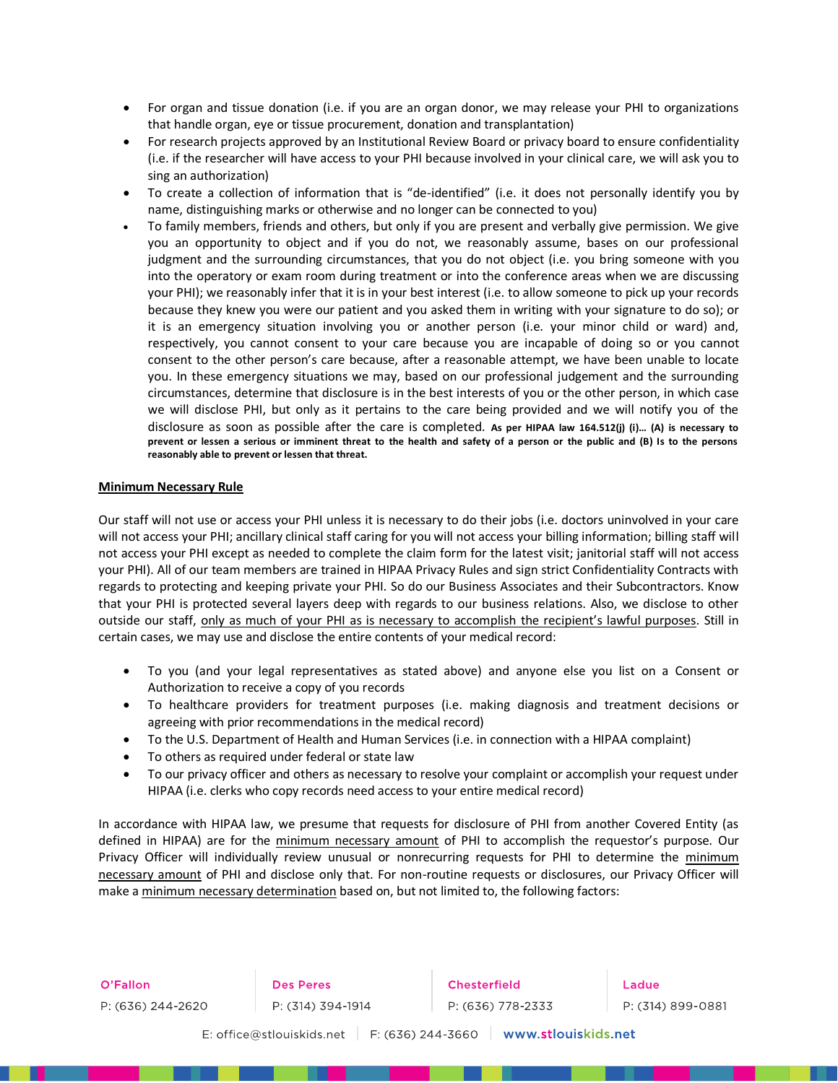- For organ and tissue donation (i.e. if you are an organ donor, we may release your PHI to organizations that handle organ, eye or tissue procurement, donation and transplantation)
- For research projects approved by an Institutional Review Board or privacy board to ensure confidentiality (i.e. if the researcher will have access to your PHI because involved in your clinical care, we will ask you to sing an authorization)
- To create a collection of information that is "de-identified" (i.e. it does not personally identify you by name, distinguishing marks or otherwise and no longer can be connected to you)
- To family members, friends and others, but only if you are present and verbally give permission. We give you an opportunity to object and if you do not, we reasonably assume, bases on our professional judgment and the surrounding circumstances, that you do not object (i.e. you bring someone with you into the operatory or exam room during treatment or into the conference areas when we are discussing your PHI); we reasonably infer that it is in your best interest (i.e. to allow someone to pick up your records because they knew you were our patient and you asked them in writing with your signature to do so); or it is an emergency situation involving you or another person (i.e. your minor child or ward) and, respectively, you cannot consent to your care because you are incapable of doing so or you cannot consent to the other person's care because, after a reasonable attempt, we have been unable to locate you. In these emergency situations we may, based on our professional judgement and the surrounding circumstances, determine that disclosure is in the best interests of you or the other person, in which case we will disclose PHI, but only as it pertains to the care being provided and we will notify you of the disclosure as soon as possible after the care is completed. **As per HIPAA law 164.512(j) (i)… (A) is necessary to prevent or lessen a serious or imminent threat to the health and safety of a person or the public and (B) Is to the persons reasonably able to prevent or lessen that threat.**

#### **Minimum Necessary Rule**

Our staff will not use or access your PHI unless it is necessary to do their jobs (i.e. doctors uninvolved in your care will not access your PHI; ancillary clinical staff caring for you will not access your billing information; billing staff will not access your PHI except as needed to complete the claim form for the latest visit; janitorial staff will not access your PHI). All of our team members are trained in HIPAA Privacy Rules and sign strict Confidentiality Contracts with regards to protecting and keeping private your PHI. So do our Business Associates and their Subcontractors. Know that your PHI is protected several layers deep with regards to our business relations. Also, we disclose to other outside our staff, only as much of your PHI as is necessary to accomplish the recipient's lawful purposes. Still in certain cases, we may use and disclose the entire contents of your medical record:

- To you (and your legal representatives as stated above) and anyone else you list on a Consent or Authorization to receive a copy of you records
- To healthcare providers for treatment purposes (i.e. making diagnosis and treatment decisions or agreeing with prior recommendations in the medical record)
- To the U.S. Department of Health and Human Services (i.e. in connection with a HIPAA complaint)
- To others as required under federal or state law
- To our privacy officer and others as necessary to resolve your complaint or accomplish your request under HIPAA (i.e. clerks who copy records need access to your entire medical record)

In accordance with HIPAA law, we presume that requests for disclosure of PHI from another Covered Entity (as defined in HIPAA) are for the minimum necessary amount of PHI to accomplish the requestor's purpose. Our Privacy Officer will individually review unusual or nonrecurring requests for PHI to determine the minimum necessary amount of PHI and disclose only that. For non-routine requests or disclosures, our Privacy Officer will make a minimum necessary determination based on, but not limited to, the following factors: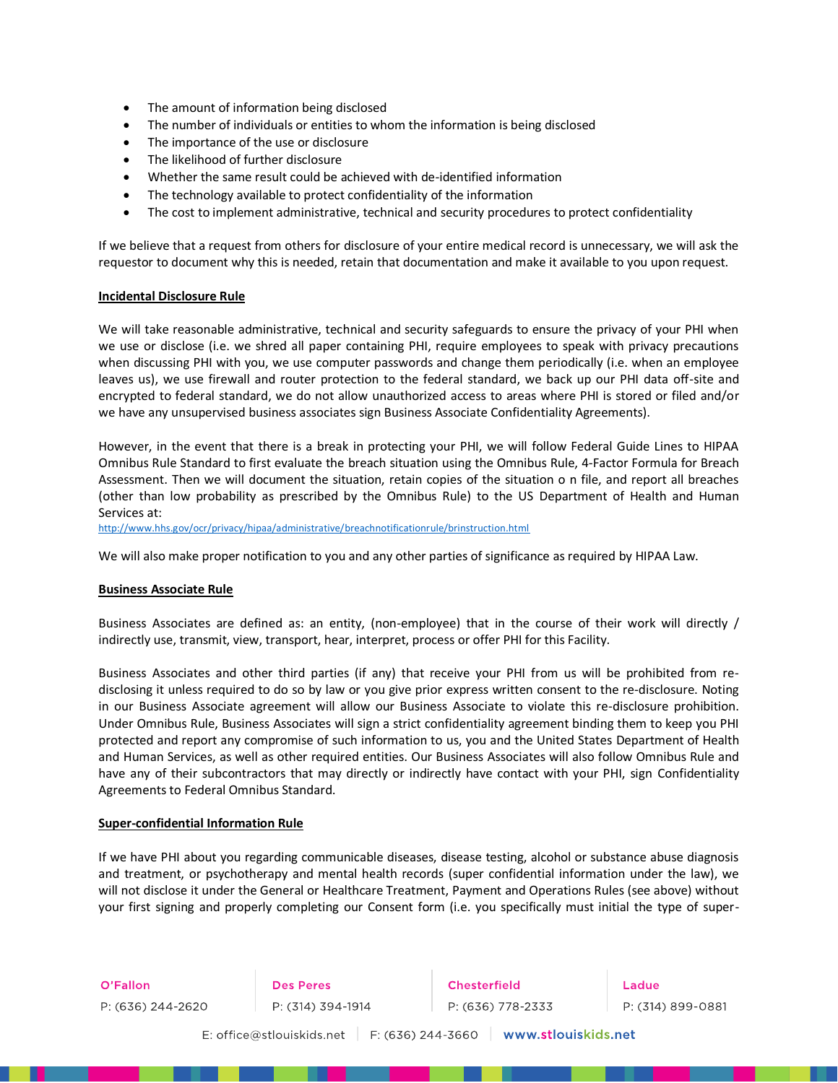- The amount of information being disclosed
- The number of individuals or entities to whom the information is being disclosed
- The importance of the use or disclosure
- The likelihood of further disclosure
- Whether the same result could be achieved with de-identified information
- The technology available to protect confidentiality of the information
- The cost to implement administrative, technical and security procedures to protect confidentiality

If we believe that a request from others for disclosure of your entire medical record is unnecessary, we will ask the requestor to document why this is needed, retain that documentation and make it available to you upon request.

#### **Incidental Disclosure Rule**

We will take reasonable administrative, technical and security safeguards to ensure the privacy of your PHI when we use or disclose (i.e. we shred all paper containing PHI, require employees to speak with privacy precautions when discussing PHI with you, we use computer passwords and change them periodically (i.e. when an employee leaves us), we use firewall and router protection to the federal standard, we back up our PHI data off-site and encrypted to federal standard, we do not allow unauthorized access to areas where PHI is stored or filed and/or we have any unsupervised business associates sign Business Associate Confidentiality Agreements).

However, in the event that there is a break in protecting your PHI, we will follow Federal Guide Lines to HIPAA Omnibus Rule Standard to first evaluate the breach situation using the Omnibus Rule, 4-Factor Formula for Breach Assessment. Then we will document the situation, retain copies of the situation o n file, and report all breaches (other than low probability as prescribed by the Omnibus Rule) to the US Department of Health and Human Services at:

<http://www.hhs.gov/ocr/privacy/hipaa/administrative/breachnotificationrule/brinstruction.html>

We will also make proper notification to you and any other parties of significance as required by HIPAA Law.

#### **Business Associate Rule**

Business Associates are defined as: an entity, (non-employee) that in the course of their work will directly / indirectly use, transmit, view, transport, hear, interpret, process or offer PHI for this Facility.

Business Associates and other third parties (if any) that receive your PHI from us will be prohibited from redisclosing it unless required to do so by law or you give prior express written consent to the re-disclosure. Noting in our Business Associate agreement will allow our Business Associate to violate this re-disclosure prohibition. Under Omnibus Rule, Business Associates will sign a strict confidentiality agreement binding them to keep you PHI protected and report any compromise of such information to us, you and the United States Department of Health and Human Services, as well as other required entities. Our Business Associates will also follow Omnibus Rule and have any of their subcontractors that may directly or indirectly have contact with your PHI, sign Confidentiality Agreements to Federal Omnibus Standard.

#### **Super-confidential Information Rule**

If we have PHI about you regarding communicable diseases, disease testing, alcohol or substance abuse diagnosis and treatment, or psychotherapy and mental health records (super confidential information under the law), we will not disclose it under the General or Healthcare Treatment, Payment and Operations Rules (see above) without your first signing and properly completing our Consent form (i.e. you specifically must initial the type of super-

O'Fallon P: (636) 244-2620 **Des Peres**<br>P: (314) 394-1914

Chesterfield P: (636) 778-2333

Ladue P: (314) 899-0881

E: office@stlouiskids.net F: (636) 244-3660 | www.stlouiskids.net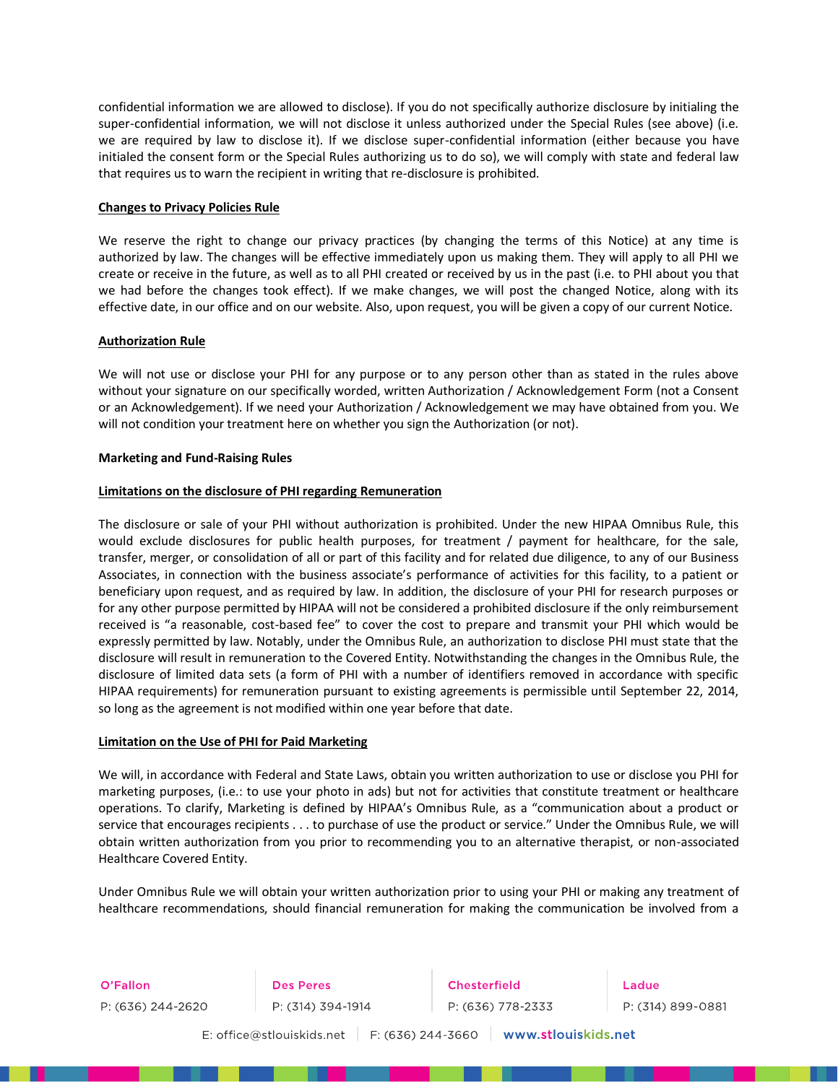confidential information we are allowed to disclose). If you do not specifically authorize disclosure by initialing the super-confidential information, we will not disclose it unless authorized under the Special Rules (see above) (i.e. we are required by law to disclose it). If we disclose super-confidential information (either because you have initialed the consent form or the Special Rules authorizing us to do so), we will comply with state and federal law that requires us to warn the recipient in writing that re-disclosure is prohibited.

#### **Changes to Privacy Policies Rule**

We reserve the right to change our privacy practices (by changing the terms of this Notice) at any time is authorized by law. The changes will be effective immediately upon us making them. They will apply to all PHI we create or receive in the future, as well as to all PHI created or received by us in the past (i.e. to PHI about you that we had before the changes took effect). If we make changes, we will post the changed Notice, along with its effective date, in our office and on our website. Also, upon request, you will be given a copy of our current Notice.

# **Authorization Rule**

We will not use or disclose your PHI for any purpose or to any person other than as stated in the rules above without your signature on our specifically worded, written Authorization / Acknowledgement Form (not a Consent or an Acknowledgement). If we need your Authorization / Acknowledgement we may have obtained from you. We will not condition your treatment here on whether you sign the Authorization (or not).

#### **Marketing and Fund-Raising Rules**

# **Limitations on the disclosure of PHI regarding Remuneration**

The disclosure or sale of your PHI without authorization is prohibited. Under the new HIPAA Omnibus Rule, this would exclude disclosures for public health purposes, for treatment / payment for healthcare, for the sale, transfer, merger, or consolidation of all or part of this facility and for related due diligence, to any of our Business Associates, in connection with the business associate's performance of activities for this facility, to a patient or beneficiary upon request, and as required by law. In addition, the disclosure of your PHI for research purposes or for any other purpose permitted by HIPAA will not be considered a prohibited disclosure if the only reimbursement received is "a reasonable, cost-based fee" to cover the cost to prepare and transmit your PHI which would be expressly permitted by law. Notably, under the Omnibus Rule, an authorization to disclose PHI must state that the disclosure will result in remuneration to the Covered Entity. Notwithstanding the changes in the Omnibus Rule, the disclosure of limited data sets (a form of PHI with a number of identifiers removed in accordance with specific HIPAA requirements) for remuneration pursuant to existing agreements is permissible until September 22, 2014, so long as the agreement is not modified within one year before that date.

#### **Limitation on the Use of PHI for Paid Marketing**

We will, in accordance with Federal and State Laws, obtain you written authorization to use or disclose you PHI for marketing purposes, (i.e.: to use your photo in ads) but not for activities that constitute treatment or healthcare operations. To clarify, Marketing is defined by HIPAA's Omnibus Rule, as a "communication about a product or service that encourages recipients . . . to purchase of use the product or service." Under the Omnibus Rule, we will obtain written authorization from you prior to recommending you to an alternative therapist, or non-associated Healthcare Covered Entity.

Under Omnibus Rule we will obtain your written authorization prior to using your PHI or making any treatment of healthcare recommendations, should financial remuneration for making the communication be involved from a

O'Fallon P: (636) 244-2620 **Des Peres**<br>P: (314) 394-1914

**Chesterfield** P: (636) 778-2333



E: office@stlouiskids.net | F: (636) 244-3660 | www.stlouiskids.net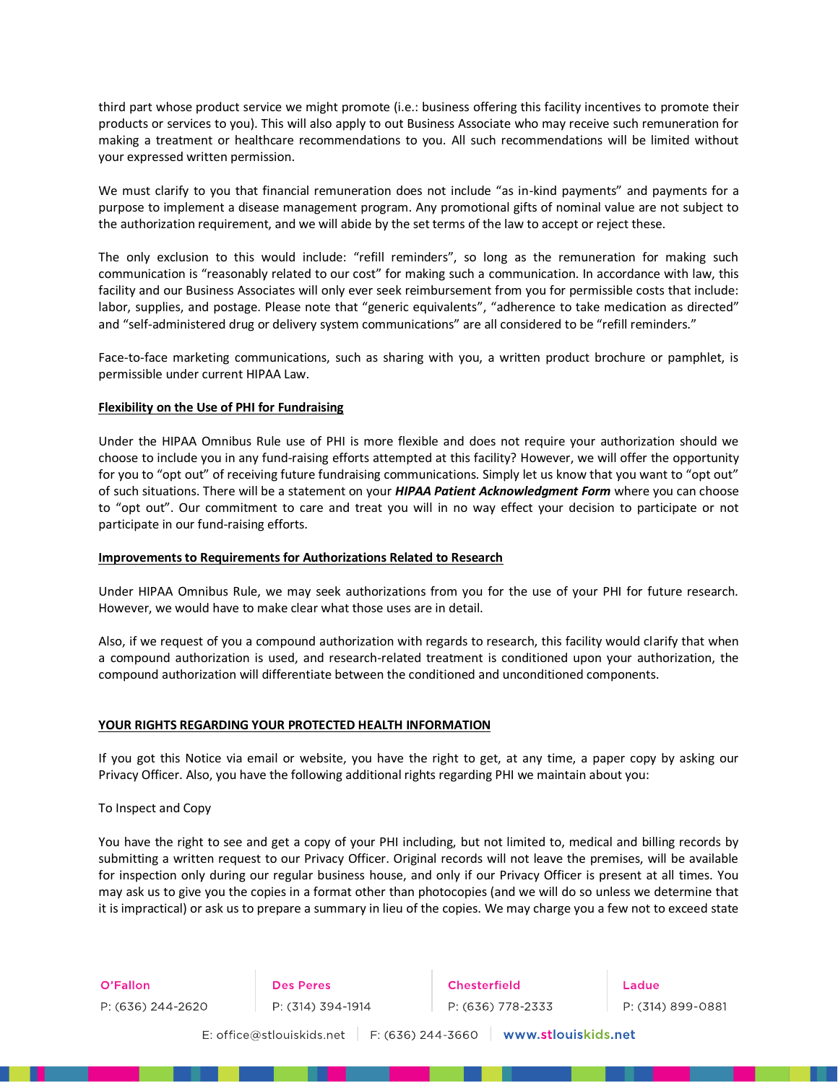third part whose product service we might promote (i.e.: business offering this facility incentives to promote their products or services to you). This will also apply to out Business Associate who may receive such remuneration for making a treatment or healthcare recommendations to you. All such recommendations will be limited without your expressed written permission.

We must clarify to you that financial remuneration does not include "as in-kind payments" and payments for a purpose to implement a disease management program. Any promotional gifts of nominal value are not subject to the authorization requirement, and we will abide by the set terms of the law to accept or reject these.

The only exclusion to this would include: "refill reminders", so long as the remuneration for making such communication is "reasonably related to our cost" for making such a communication. In accordance with law, this facility and our Business Associates will only ever seek reimbursement from you for permissible costs that include: labor, supplies, and postage. Please note that "generic equivalents", "adherence to take medication as directed" and "self-administered drug or delivery system communications" are all considered to be "refill reminders."

Face-to-face marketing communications, such as sharing with you, a written product brochure or pamphlet, is permissible under current HIPAA Law.

#### **Flexibility on the Use of PHI for Fundraising**

Under the HIPAA Omnibus Rule use of PHI is more flexible and does not require your authorization should we choose to include you in any fund-raising efforts attempted at this facility? However, we will offer the opportunity for you to "opt out" of receiving future fundraising communications. Simply let us know that you want to "opt out" of such situations. There will be a statement on your *HIPAA Patient Acknowledgment Form* where you can choose to "opt out". Our commitment to care and treat you will in no way effect your decision to participate or not participate in our fund-raising efforts.

#### **Improvements to Requirements for Authorizations Related to Research**

Under HIPAA Omnibus Rule, we may seek authorizations from you for the use of your PHI for future research. However, we would have to make clear what those uses are in detail.

Also, if we request of you a compound authorization with regards to research, this facility would clarify that when a compound authorization is used, and research-related treatment is conditioned upon your authorization, the compound authorization will differentiate between the conditioned and unconditioned components.

#### **YOUR RIGHTS REGARDING YOUR PROTECTED HEALTH INFORMATION**

If you got this Notice via email or website, you have the right to get, at any time, a paper copy by asking our Privacy Officer. Also, you have the following additional rights regarding PHI we maintain about you:

To Inspect and Copy

You have the right to see and get a copy of your PHI including, but not limited to, medical and billing records by submitting a written request to our Privacy Officer. Original records will not leave the premises, will be available for inspection only during our regular business house, and only if our Privacy Officer is present at all times. You may ask us to give you the copies in a format other than photocopies (and we will do so unless we determine that it is impractical) or ask us to prepare a summary in lieu of the copies. We may charge you a few not to exceed state

O'Fallon **Communist Communist Communist Communist** P: (636) 244-2620 **Des Peres**<br>P: (314) 394-1914

Chesterfield P: (636) 778-2333

Ladue P: (314) 899-0881

E: office@stlouiskids.net | F: (636) 244-3660 | www.stlouiskids.net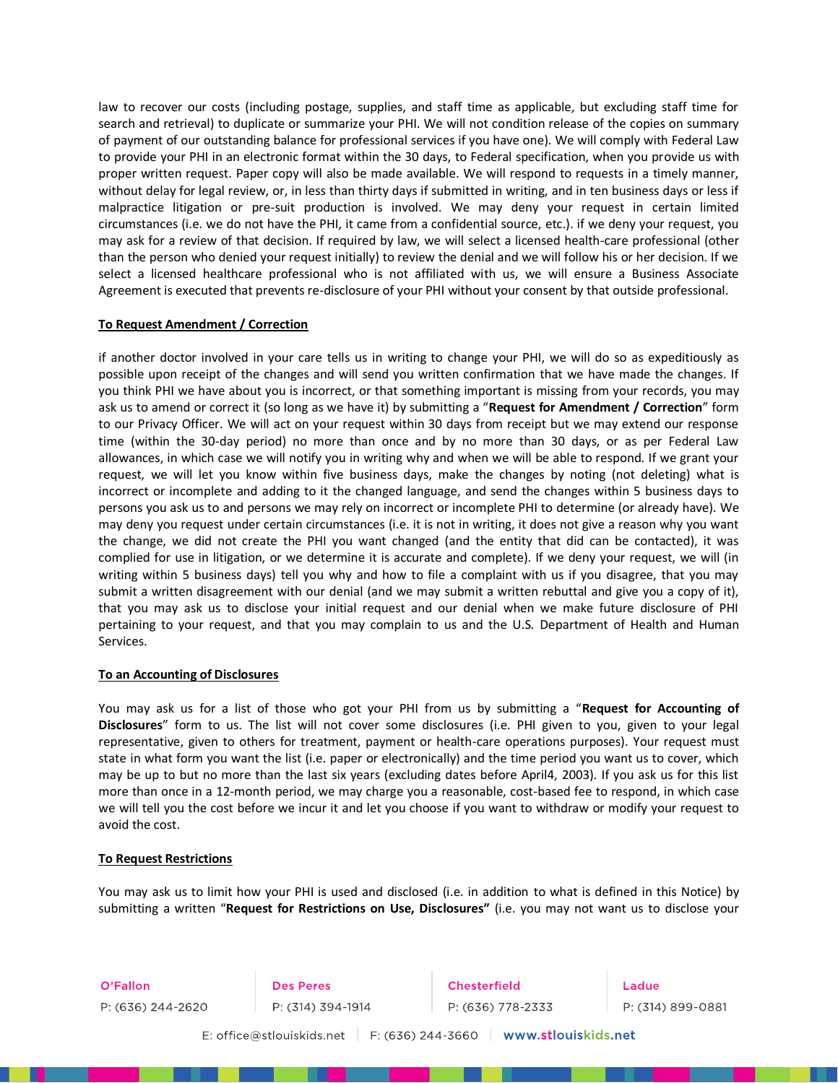law to recover our costs (including postage, supplies, and staff time as applicable, but excluding staff time for search and retrieval) to duplicate or summarize your PHI. We will not condition release of the copies on summary of payment of our outstanding balance for professional services if you have one). We will comply with Federal Law to provide your PHI in an electronic format within the 30 days, to Federal specification, when you provide us with proper written request. Paper copy will also be made available. We will respond to requests in a timely manner, without delay for legal review, or, in less than thirty days if submitted in writing, and in ten business days or less if malpractice litigation or pre-suit production is involved. We may deny your request in certain limited circumstances (i.e. we do not have the PHI, it came from a confidential source, etc.). if we deny your request, you may ask for a review of that decision. If required by law, we will select a licensed health-care professional (other than the person who denied your request initially) to review the denial and we will follow his or her decision. If we select a licensed healthcare professional who is not affiliated with us, we will ensure a Business Associate Agreement is executed that prevents re-disclosure of your PHI without your consent by that outside professional.

# **To Request Amendment / Correction**

if another doctor involved in your care tells us in writing to change your PHI, we will do so as expeditiously as possible upon receipt of the changes and will send you written confirmation that we have made the changes. If you think PHI we have about you is incorrect, or that something important is missing from your records, you may ask us to amend or correct it (so long as we have it) by submitting a "**Request for Amendment / Correction**" form to our Privacy Officer. We will act on your request within 30 days from receipt but we may extend our response time (within the 30-day period) no more than once and by no more than 30 days, or as per Federal Law allowances, in which case we will notify you in writing why and when we will be able to respond. If we grant your request, we will let you know within five business days, make the changes by noting (not deleting) what is incorrect or incomplete and adding to it the changed language, and send the changes within 5 business days to persons you ask us to and persons we may rely on incorrect or incomplete PHI to determine (or already have). We may deny you request under certain circumstances (i.e. it is not in writing, it does not give a reason why you want the change, we did not create the PHI you want changed (and the entity that did can be contacted), it was complied for use in litigation, or we determine it is accurate and complete). If we deny your request, we will (in writing within 5 business days) tell you why and how to file a complaint with us if you disagree, that you may submit a written disagreement with our denial (and we may submit a written rebuttal and give you a copy of it), that you may ask us to disclose your initial request and our denial when we make future disclosure of PHI pertaining to your request, and that you may complain to us and the U.S. Department of Health and Human Services.

#### **To an Accounting of Disclosures**

You may ask us for a list of those who got your PHI from us by submitting a "**Request for Accounting of Disclosures**" form to us. The list will not cover some disclosures (i.e. PHI given to you, given to your legal representative, given to others for treatment, payment or health-care operations purposes). Your request must state in what form you want the list (i.e. paper or electronically) and the time period you want us to cover, which may be up to but no more than the last six years (excluding dates before April4, 2003). If you ask us for this list more than once in a 12-month period, we may charge you a reasonable, cost-based fee to respond, in which case we will tell you the cost before we incur it and let you choose if you want to withdraw or modify your request to avoid the cost.

#### **To Request Restrictions**

You may ask us to limit how your PHI is used and disclosed (i.e. in addition to what is defined in this Notice) by submitting a written "**Request for Restrictions on Use, Disclosures"** (i.e. you may not want us to disclose your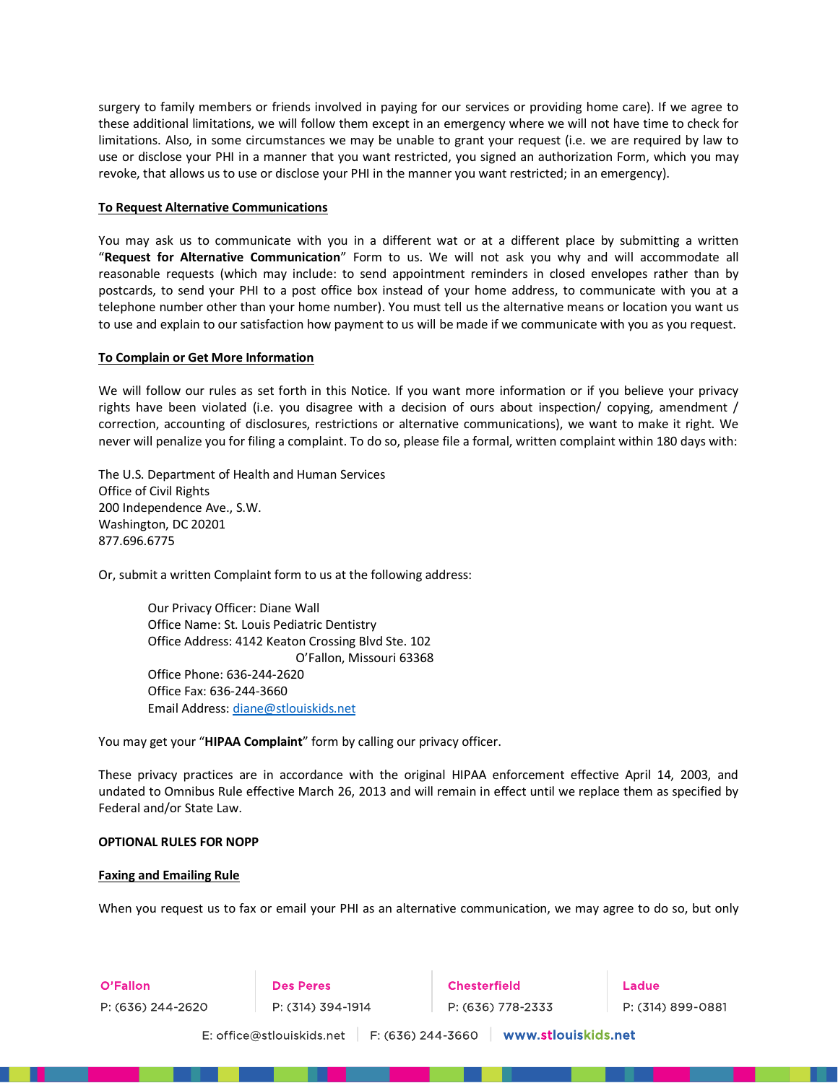surgery to family members or friends involved in paying for our services or providing home care). If we agree to these additional limitations, we will follow them except in an emergency where we will not have time to check for limitations. Also, in some circumstances we may be unable to grant your request (i.e. we are required by law to use or disclose your PHI in a manner that you want restricted, you signed an authorization Form, which you may revoke, that allows us to use or disclose your PHI in the manner you want restricted; in an emergency).

# **To Request Alternative Communications**

You may ask us to communicate with you in a different wat or at a different place by submitting a written "**Request for Alternative Communication**" Form to us. We will not ask you why and will accommodate all reasonable requests (which may include: to send appointment reminders in closed envelopes rather than by postcards, to send your PHI to a post office box instead of your home address, to communicate with you at a telephone number other than your home number). You must tell us the alternative means or location you want us to use and explain to our satisfaction how payment to us will be made if we communicate with you as you request.

# **To Complain or Get More Information**

We will follow our rules as set forth in this Notice. If you want more information or if you believe your privacy rights have been violated (i.e. you disagree with a decision of ours about inspection/ copying, amendment / correction, accounting of disclosures, restrictions or alternative communications), we want to make it right. We never will penalize you for filing a complaint. To do so, please file a formal, written complaint within 180 days with:

The U.S. Department of Health and Human Services Office of Civil Rights 200 Independence Ave., S.W. Washington, DC 20201 877.696.6775

Or, submit a written Complaint form to us at the following address:

Our Privacy Officer: Diane Wall Office Name: St. Louis Pediatric Dentistry Office Address: 4142 Keaton Crossing Blvd Ste. 102 O'Fallon, Missouri 63368 Office Phone: 636-244-2620 Office Fax: 636-244-3660 Email Address: [diane@stlouiskids.net](mailto:diane@stlouiskids.net)

You may get your "**HIPAA Complaint**" form by calling our privacy officer.

These privacy practices are in accordance with the original HIPAA enforcement effective April 14, 2003, and undated to Omnibus Rule effective March 26, 2013 and will remain in effect until we replace them as specified by Federal and/or State Law.

#### **OPTIONAL RULES FOR NOPP**

#### **Faxing and Emailing Rule**

When you request us to fax or email your PHI as an alternative communication, we may agree to do so, but only

| O'Fallon                                                              | <b>Des Peres</b>  | <b>Chesterfield</b> | Ladue             |  |  |  |
|-----------------------------------------------------------------------|-------------------|---------------------|-------------------|--|--|--|
| P: (636) 244-2620                                                     | P: (314) 394-1914 | P: (636) 778-2333   | P: (314) 899-0881 |  |  |  |
| www.stlouiskids.net<br>F: (636) 244-3660<br>E: office@stlouiskids.net |                   |                     |                   |  |  |  |